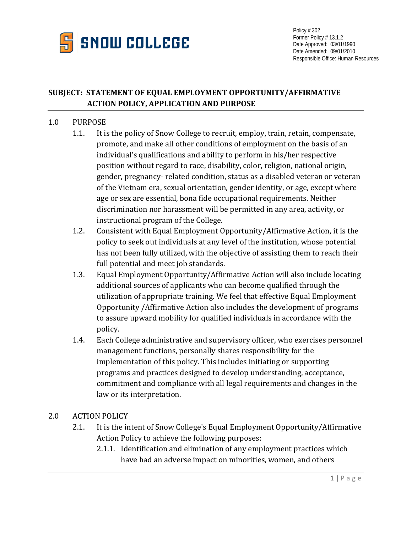

Policy # 302 Former Policy # 13.1.2 Date Approved: 03/01/1990 Date Amended: 09/01/2010 Responsible Office: Human Resources

## **SUBJECT: STATEMENT OF EQUAL EMPLOYMENT OPPORTUNITY/AFFIRMATIVE ACTION POLICY, APPLICATION AND PURPOSE**

## 1.0 PURPOSE

- 1.1. It is the policy of Snow College to recruit, employ, train, retain, compensate, promote, and make all other conditions of employment on the basis of an individual's qualifications and ability to perform in his/her respective position without regard to race, disability, color, religion, national origin, gender, pregnancy- related condition, status as a disabled veteran or veteran of the Vietnam era, sexual orientation, gender identity, or age, except where age or sex are essential, bona fide occupational requirements. Neither discrimination nor harassment will be permitted in any area, activity, or instructional program of the College.
- 1.2. Consistent with Equal Employment Opportunity/Affirmative Action, it is the policy to seek out individuals at any level of the institution, whose potential has not been fully utilized, with the objective of assisting them to reach their full potential and meet job standards.
- 1.3. Equal Employment Opportunity/Affirmative Action will also include locating additional sources of applicants who can become qualified through the utilization of appropriate training. We feel that effective Equal Employment Opportunity /Affirmative Action also includes the development of programs to assure upward mobility for qualified individuals in accordance with the policy.
- 1.4. Each College administrative and supervisory officer, who exercises personnel management functions, personally shares responsibility for the implementation of this policy. This includes initiating or supporting programs and practices designed to develop understanding, acceptance, commitment and compliance with all legal requirements and changes in the law or its interpretation.

## 2.0 ACTION POLICY

- 2.1. It is the intent of Snow College's Equal Employment Opportunity/Affirmative Action Policy to achieve the following purposes:
	- 2.1.1. Identification and elimination of any employment practices which have had an adverse impact on minorities, women, and others